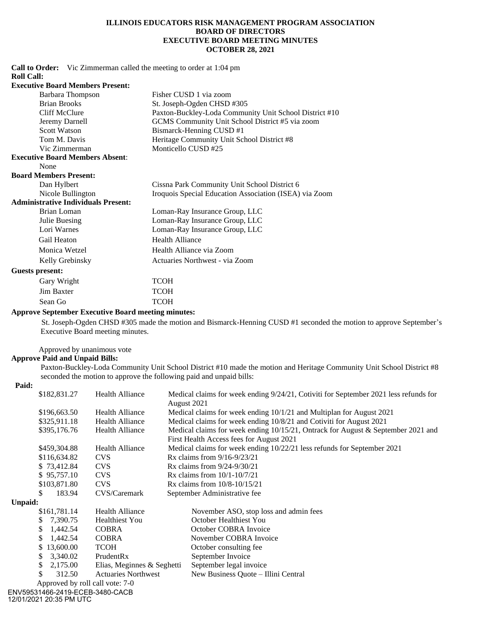### **ILLINOIS EDUCATORS RISK MANAGEMENT PROGRAM ASSOCIATION BOARD OF DIRECTORS EXECUTIVE BOARD MEETING MINUTES OCTOBER 28, 2021**

**Call to Order:** Vic Zimmerman called the meeting to order at 1:04 pm **Roll Call:**

#### **Executive Board Members Present:**

| Barbara Thompson                           | Fisher CUSD 1 via zoom                                 |
|--------------------------------------------|--------------------------------------------------------|
| <b>Brian Brooks</b>                        | St. Joseph-Ogden CHSD #305                             |
| Cliff McClure                              | Paxton-Buckley-Loda Community Unit School District #10 |
| Jeremy Darnell                             | GCMS Community Unit School District #5 via zoom        |
| <b>Scott Watson</b>                        | Bismarck-Henning CUSD #1                               |
| Tom M. Davis                               | Heritage Community Unit School District #8             |
| Vic Zimmerman                              | Monticello CUSD #25                                    |
| <b>Executive Board Members Absent:</b>     |                                                        |
| None                                       |                                                        |
| <b>Board Members Present:</b>              |                                                        |
| Dan Hylbert                                | Cissna Park Community Unit School District 6           |
| Nicole Bullington                          | Iroquois Special Education Association (ISEA) via Zoom |
| <b>Administrative Individuals Present:</b> |                                                        |
| Brian Loman                                | Loman-Ray Insurance Group, LLC                         |
| Julie Buesing                              | Loman-Ray Insurance Group, LLC                         |
| Lori Warnes                                | Loman-Ray Insurance Group, LLC                         |
| Gail Heaton                                | <b>Health Alliance</b>                                 |
| Monica Wetzel                              | Health Alliance via Zoom                               |
| Kelly Grebinsky                            | Actuaries Northwest - via Zoom                         |
| Guests present:                            |                                                        |
| Gary Wright                                | <b>TCOH</b>                                            |
| <b>Jim Baxter</b>                          | <b>TCOH</b>                                            |
| Sean Go                                    | <b>TCOH</b>                                            |

#### **Approve September Executive Board meeting minutes:**

St. Joseph-Ogden CHSD #305 made the motion and Bismarck-Henning CUSD #1 seconded the motion to approve September's Executive Board meeting minutes.

Approved by unanimous vote

# **Approve Paid and Unpaid Bills:**

**Paid:**

Paxton-Buckley-Loda Community Unit School District #10 made the motion and Heritage Community Unit School District #8 seconded the motion to approve the following paid and unpaid bills:

|                | \$182,831.27                    | Health Alliance            | August 2021                                                          | Medical claims for week ending 9/24/21, Cotiviti for September 2021 less refunds for |
|----------------|---------------------------------|----------------------------|----------------------------------------------------------------------|--------------------------------------------------------------------------------------|
|                | \$196,663.50                    | <b>Health Alliance</b>     | Medical claims for week ending 10/1/21 and Multiplan for August 2021 |                                                                                      |
|                | \$325,911.18                    | Health Alliance            | Medical claims for week ending 10/8/21 and Cotiviti for August 2021  |                                                                                      |
|                | \$395,176.76                    | Health Alliance            |                                                                      | Medical claims for week ending $10/15/21$ , Ontrack for August & September 2021 and  |
|                |                                 |                            |                                                                      | First Health Access fees for August 2021                                             |
|                | \$459,304.88                    | <b>Health Alliance</b>     |                                                                      | Medical claims for week ending 10/22/21 less refunds for September 2021              |
|                | \$116,634.82                    | CVS                        |                                                                      | Rx claims from $9/16 - 9/23/21$                                                      |
|                | \$73,412.84                     | <b>CVS</b>                 |                                                                      | Rx claims from $9/24 - 9/30/21$                                                      |
|                | \$95,757.10                     | CVS                        | Rx claims from $10/1-10/7/21$                                        |                                                                                      |
|                | \$103,871.80                    | <b>CVS</b>                 | Rx claims from $10/8 - 10/15/21$                                     |                                                                                      |
| \$             | 183.94                          | CVS/Caremark               |                                                                      | September Administrative fee                                                         |
| <b>Unpaid:</b> |                                 |                            |                                                                      |                                                                                      |
|                | \$161,781.14                    | <b>Health Alliance</b>     |                                                                      | November ASO, stop loss and admin fees                                               |
| \$             | 7,390.75                        | <b>Healthiest You</b>      |                                                                      | October Healthiest You                                                               |
| \$             | 1,442.54                        | <b>COBRA</b>               |                                                                      | October COBRA Invoice                                                                |
| \$             | 1,442.54                        | <b>COBRA</b>               |                                                                      | November COBRA Invoice                                                               |
| \$             | 13,600.00                       | <b>TCOH</b>                |                                                                      | October consulting fee.                                                              |
| S              | 3,340.02                        | PrudentRx                  |                                                                      | September Invoice                                                                    |
| \$             | 2,175.00                        | Elias, Meginnes & Seghetti |                                                                      | September legal invoice                                                              |
| \$             | 312.50                          | <b>Actuaries Northwest</b> |                                                                      | New Business Quote – Illini Central                                                  |
|                | Approved by roll call vote: 7-0 |                            |                                                                      |                                                                                      |
|                | ENV59531466-2419-ECEB-3480-CACB |                            |                                                                      |                                                                                      |

12/01/2021 20:35 PM UTC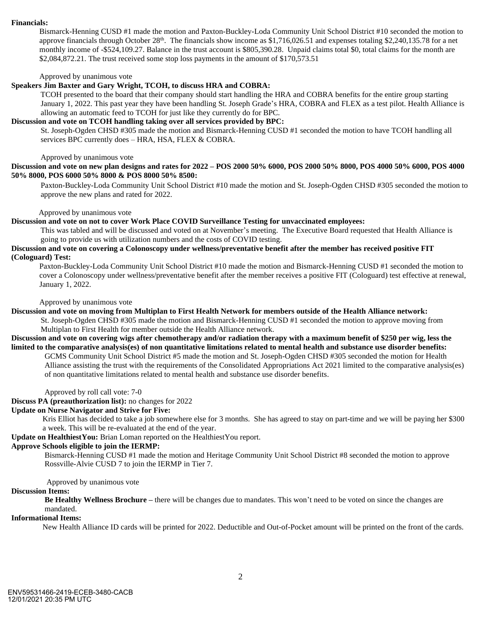#### **Financials:**

Bismarck-Henning CUSD #1 made the motion and Paxton-Buckley-Loda Community Unit School District #10 seconded the motion to approve financials through October  $28<sup>th</sup>$ . The financials show income as \$1,716,026.51 and expenses totaling \$2,240,135.78 for a net monthly income of -\$524,109.27. Balance in the trust account is \$805,390.28. Unpaid claims total \$0, total claims for the month are \$2,084,872.21. The trust received some stop loss payments in the amount of \$170,573.51

Approved by unanimous vote

#### **Speakers Jim Baxter and Gary Wright, TCOH, to discuss HRA and COBRA:**

TCOH presented to the board that their company should start handling the HRA and COBRA benefits for the entire group starting January 1, 2022. This past year they have been handling St. Joseph Grade's HRA, COBRA and FLEX as a test pilot. Health Alliance is allowing an automatic feed to TCOH for just like they currently do for BPC.

#### **Discussion and vote on TCOH handling taking over all services provided by BPC:**

St. Joseph-Ogden CHSD #305 made the motion and Bismarck-Henning CUSD #1 seconded the motion to have TCOH handling all services BPC currently does – HRA, HSA, FLEX & COBRA.

Approved by unanimous vote

**Discussion and vote on new plan designs and rates for 2022 – POS 2000 50% 6000, POS 2000 50% 8000, POS 4000 50% 6000, POS 4000 50% 8000, POS 6000 50% 8000 & POS 8000 50% 8500:**

Paxton-Buckley-Loda Community Unit School District #10 made the motion and St. Joseph-Ogden CHSD #305 seconded the motion to approve the new plans and rated for 2022.

### Approved by unanimous vote

### **Discussion and vote on not to cover Work Place COVID Surveillance Testing for unvaccinated employees:**

This was tabled and will be discussed and voted on at November's meeting. The Executive Board requested that Health Alliance is going to provide us with utilization numbers and the costs of COVID testing.

### **Discussion and vote on covering a Colonoscopy under wellness/preventative benefit after the member has received positive FIT (Cologuard) Test:**

Paxton-Buckley-Loda Community Unit School District #10 made the motion and Bismarck-Henning CUSD #1 seconded the motion to cover a Colonoscopy under wellness/preventative benefit after the member receives a positive FIT (Cologuard) test effective at renewal, January 1, 2022.

### Approved by unanimous vote

**Discussion and vote on moving from Multiplan to First Health Network for members outside of the Health Alliance network:**

St. Joseph-Ogden CHSD #305 made the motion and Bismarck-Henning CUSD #1 seconded the motion to approve moving from Multiplan to First Health for member outside the Health Alliance network.

# **Discussion and vote on covering wigs after chemotherapy and/or radiation therapy with a maximum benefit of \$250 per wig, less the limited to the comparative analysis(es) of non quantitative limitations related to mental health and substance use disorder benefits:**

GCMS Community Unit School District #5 made the motion and St. Joseph-Ogden CHSD #305 seconded the motion for Health Alliance assisting the trust with the requirements of the Consolidated Appropriations Act 2021 limited to the comparative analysis(es) of non quantitative limitations related to mental health and substance use disorder benefits.

Approved by roll call vote: 7-0

# **Discuss PA (preauthorization list):** no changes for 2022

## **Update on Nurse Navigator and Strive for Five:**

Kris Elliot has decided to take a job somewhere else for 3 months. She has agreed to stay on part-time and we will be paying her \$300 a week. This will be re-evaluated at the end of the year.

**Update on HealthiestYou:** Brian Loman reported on the HealthiestYou report.

## **Approve Schools eligible to join the IERMP:**

 Bismarck-Henning CUSD #1 made the motion and Heritage Community Unit School District #8 seconded the motion to approve Rossville-Alvie CUSD 7 to join the IERMP in Tier 7.

Approved by unanimous vote

## **Discussion Items:**

 **Be Healthy Wellness Brochure –** there will be changes due to mandates. This won't need to be voted on since the changes are mandated.

# **Informational Items:**

New Health Alliance ID cards will be printed for 2022. Deductible and Out-of-Pocket amount will be printed on the front of the cards.